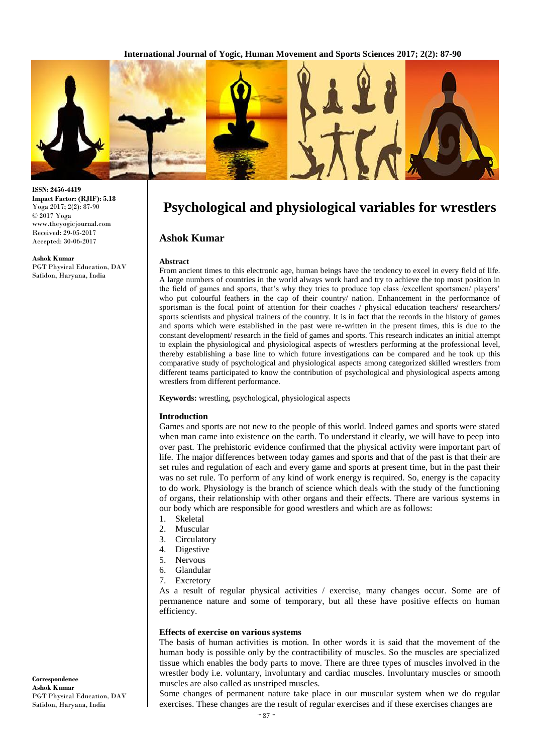

**ISSN: 2456-4419 Impact Factor: (RJIF): 5.18** Yoga 2017; 2(2): 87-90 © 2017 Yoga www.theyogicjournal.com Received: 29-05-2017 Accepted: 30-06-2017

**Ashok Kumar** PGT Physical Education, DAV Safidon, Haryana, India

# **Psychological and physiological variables for wrestlers**

# **Ashok Kumar**

### **Abstract**

From ancient times to this electronic age, human beings have the tendency to excel in every field of life. A large numbers of countries in the world always work hard and try to achieve the top most position in the field of games and sports, that's why they tries to produce top class /excellent sportsmen/ players' who put colourful feathers in the cap of their country/ nation. Enhancement in the performance of sportsman is the focal point of attention for their coaches / physical education teachers/ researchers/ sports scientists and physical trainers of the country. It is in fact that the records in the history of games and sports which were established in the past were re-written in the present times, this is due to the constant development/ research in the field of games and sports. This research indicates an initial attempt to explain the physiological and physiological aspects of wrestlers performing at the professional level, thereby establishing a base line to which future investigations can be compared and he took up this comparative study of psychological and physiological aspects among categorized skilled wrestlers from different teams participated to know the contribution of psychological and physiological aspects among wrestlers from different performance.

**Keywords:** wrestling, psychological, physiological aspects

### **Introduction**

Games and sports are not new to the people of this world. Indeed games and sports were stated when man came into existence on the earth. To understand it clearly, we will have to peep into over past. The prehistoric evidence confirmed that the physical activity were important part of life. The major differences between today games and sports and that of the past is that their are set rules and regulation of each and every game and sports at present time, but in the past their was no set rule. To perform of any kind of work energy is required. So, energy is the capacity to do work. Physiology is the branch of science which deals with the study of the functioning of organs, their relationship with other organs and their effects. There are various systems in our body which are responsible for good wrestlers and which are as follows:

- 1. Skeletal
- 2. Muscular
- 3. Circulatory
- 4. Digestive
- 5. Nervous
- 6. Glandular
- 7. Excretory

As a result of regular physical activities / exercise, many changes occur. Some are of permanence nature and some of temporary, but all these have positive effects on human efficiency.

### **Effects of exercise on various systems**

The basis of human activities is motion. In other words it is said that the movement of the human body is possible only by the contractibility of muscles. So the muscles are specialized tissue which enables the body parts to move. There are three types of muscles involved in the wrestler body i.e. voluntary, involuntary and cardiac muscles. Involuntary muscles or smooth muscles are also called as unstriped muscles.

Some changes of permanent nature take place in our muscular system when we do regular exercises. These changes are the result of regular exercises and if these exercises changes are

**Correspondence Ashok Kumar** PGT Physical Education, DAV Safidon, Haryana, India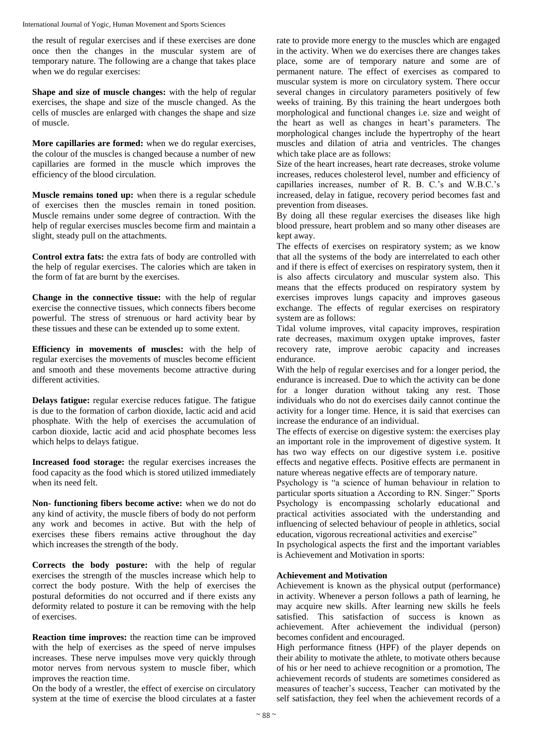the result of regular exercises and if these exercises are done once then the changes in the muscular system are of temporary nature. The following are a change that takes place when we do regular exercises:

**Shape and size of muscle changes:** with the help of regular exercises, the shape and size of the muscle changed. As the cells of muscles are enlarged with changes the shape and size of muscle.

**More capillaries are formed:** when we do regular exercises, the colour of the muscles is changed because a number of new capillaries are formed in the muscle which improves the efficiency of the blood circulation.

**Muscle remains toned up:** when there is a regular schedule of exercises then the muscles remain in toned position. Muscle remains under some degree of contraction. With the help of regular exercises muscles become firm and maintain a slight, steady pull on the attachments.

**Control extra fats:** the extra fats of body are controlled with the help of regular exercises. The calories which are taken in the form of fat are burnt by the exercises.

**Change in the connective tissue:** with the help of regular exercise the connective tissues, which connects fibers become powerful. The stress of strenuous or hard activity bear by these tissues and these can be extended up to some extent.

**Efficiency in movements of muscles:** with the help of regular exercises the movements of muscles become efficient and smooth and these movements become attractive during different activities.

**Delays fatigue:** regular exercise reduces fatigue. The fatigue is due to the formation of carbon dioxide, lactic acid and acid phosphate. With the help of exercises the accumulation of carbon dioxide, lactic acid and acid phosphate becomes less which helps to delays fatigue.

**Increased food storage:** the regular exercises increases the food capacity as the food which is stored utilized immediately when its need felt.

**Non- functioning fibers become active:** when we do not do any kind of activity, the muscle fibers of body do not perform any work and becomes in active. But with the help of exercises these fibers remains active throughout the day which increases the strength of the body.

**Corrects the body posture:** with the help of regular exercises the strength of the muscles increase which help to correct the body posture. With the help of exercises the postural deformities do not occurred and if there exists any deformity related to posture it can be removing with the help of exercises.

**Reaction time improves:** the reaction time can be improved with the help of exercises as the speed of nerve impulses increases. These nerve impulses move very quickly through motor nerves from nervous system to muscle fiber, which improves the reaction time.

On the body of a wrestler, the effect of exercise on circulatory system at the time of exercise the blood circulates at a faster rate to provide more energy to the muscles which are engaged in the activity. When we do exercises there are changes takes place, some are of temporary nature and some are of permanent nature. The effect of exercises as compared to muscular system is more on circulatory system. There occur several changes in circulatory parameters positively of few weeks of training. By this training the heart undergoes both morphological and functional changes i.e. size and weight of the heart as well as changes in heart's parameters. The morphological changes include the hypertrophy of the heart muscles and dilation of atria and ventricles. The changes which take place are as follows:

Size of the heart increases, heart rate decreases, stroke volume increases, reduces cholesterol level, number and efficiency of capillaries increases, number of R. B. C.'s and W.B.C.'s increased, delay in fatigue, recovery period becomes fast and prevention from diseases.

By doing all these regular exercises the diseases like high blood pressure, heart problem and so many other diseases are kept away.

The effects of exercises on respiratory system; as we know that all the systems of the body are interrelated to each other and if there is effect of exercises on respiratory system, then it is also affects circulatory and muscular system also. This means that the effects produced on respiratory system by exercises improves lungs capacity and improves gaseous exchange. The effects of regular exercises on respiratory system are as follows:

Tidal volume improves, vital capacity improves, respiration rate decreases, maximum oxygen uptake improves, faster recovery rate, improve aerobic capacity and increases endurance.

With the help of regular exercises and for a longer period, the endurance is increased. Due to which the activity can be done for a longer duration without taking any rest. Those individuals who do not do exercises daily cannot continue the activity for a longer time. Hence, it is said that exercises can increase the endurance of an individual.

The effects of exercise on digestive system: the exercises play an important role in the improvement of digestive system. It has two way effects on our digestive system i.e. positive effects and negative effects. Positive effects are permanent in nature whereas negative effects are of temporary nature.

Psychology is "a science of human behaviour in relation to particular sports situation a According to RN. Singer:" Sports Psychology is encompassing scholarly educational and practical activities associated with the understanding and influencing of selected behaviour of people in athletics, social education, vigorous recreational activities and exercise"

In psychological aspects the first and the important variables is Achievement and Motivation in sports:

# **Achievement and Motivation**

Achievement is known as the physical output (performance) in activity. Whenever a person follows a path of learning, he may acquire new skills. After learning new skills he feels satisfied. This satisfaction of success is known as achievement. After achievement the individual (person) becomes confident and encouraged.

High performance fitness (HPF) of the player depends on their ability to motivate the athlete, to motivate others because of his or her need to achieve recognition or a promotion, The achievement records of students are sometimes considered as measures of teacher's success, Teacher can motivated by the self satisfaction, they feel when the achievement records of a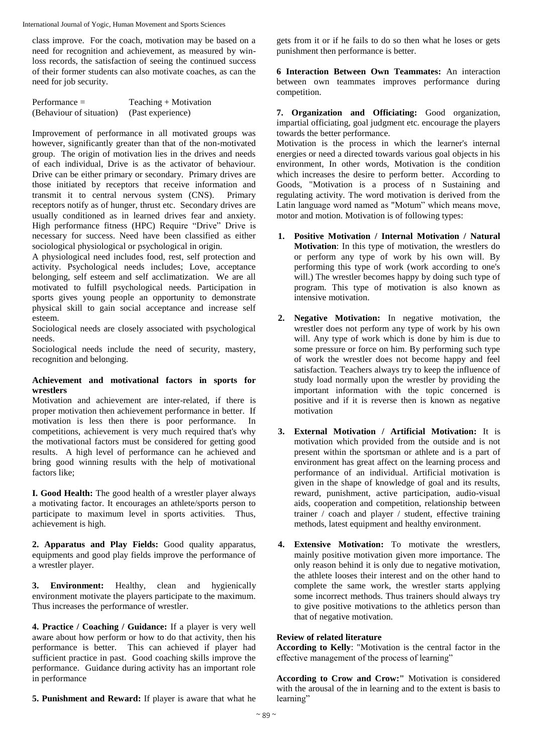International Journal of Yogic, Human Movement and Sports Sciences

class improve. For the coach, motivation may be based on a need for recognition and achievement, as measured by winloss records, the satisfaction of seeing the continued success of their former students can also motivate coaches, as can the need for job security.

| Performance =            | Teaching $+$ Motivation |
|--------------------------|-------------------------|
| (Behaviour of situation) | (Past experience)       |

Improvement of performance in all motivated groups was however, significantly greater than that of the non-motivated group. The origin of motivation lies in the drives and needs of each individual, Drive is as the activator of behaviour. Drive can be either primary or secondary. Primary drives are those initiated by receptors that receive information and transmit it to central nervous system (CNS). Primary receptors notify as of hunger, thrust etc. Secondary drives are usually conditioned as in learned drives fear and anxiety. High performance fitness (HPC) Require "Drive" Drive is necessary for success. Need have been classified as either sociological physiological or psychological in origin.

A physiological need includes food, rest, self protection and activity. Psychological needs includes; Love, acceptance belonging, self esteem and self acclimatization. We are all motivated to fulfill psychological needs. Participation in sports gives young people an opportunity to demonstrate physical skill to gain social acceptance and increase self esteem.

Sociological needs are closely associated with psychological needs.

Sociological needs include the need of security, mastery, recognition and belonging.

# **Achievement and motivational factors in sports for wrestlers**

Motivation and achievement are inter-related, if there is proper motivation then achievement performance in better. If motivation is less then there is poor performance. In competitions, achievement is very much required that's why the motivational factors must be considered for getting good results. A high level of performance can he achieved and bring good winning results with the help of motivational factors like;

**I. Good Health:** The good health of a wrestler player always a motivating factor. It encourages an athlete/sports person to participate to maximum level in sports activities. Thus, achievement is high.

**2. Apparatus and Play Fields:** Good quality apparatus, equipments and good play fields improve the performance of a wrestler player.

**3. Environment:** Healthy, clean and hygienically environment motivate the players participate to the maximum. Thus increases the performance of wrestler.

**4. Practice / Coaching / Guidance:** If a player is very well aware about how perform or how to do that activity, then his performance is better. This can achieved if player had sufficient practice in past. Good coaching skills improve the performance. Guidance during activity has an important role in performance

**5. Punishment and Reward:** If player is aware that what he

gets from it or if he fails to do so then what he loses or gets punishment then performance is better.

**6 Interaction Between Own Teammates:** An interaction between own teammates improves performance during competition.

**7. Organization and Officiating:** Good organization, impartial officiating, goal judgment etc. encourage the players towards the better performance.

Motivation is the process in which the learner's internal energies or need a directed towards various goal objects in his environment, In other words, Motivation is the condition which increases the desire to perform better. According to Goods, "Motivation is a process of n Sustaining and regulating activity. The word motivation is derived from the Latin language word named as "Motum" which means move, motor and motion. Motivation is of following types:

- **1. Positive Motivation / Internal Motivation / Natural Motivation**: In this type of motivation, the wrestlers do or perform any type of work by his own will. By performing this type of work (work according to one's will.) The wrestler becomes happy by doing such type of program. This type of motivation is also known as intensive motivation.
- **2. Negative Motivation:** In negative motivation, the wrestler does not perform any type of work by his own will. Any type of work which is done by him is due to some pressure or force on him. By performing such type of work the wrestler does not become happy and feel satisfaction. Teachers always try to keep the influence of study load normally upon the wrestler by providing the important information with the topic concerned is positive and if it is reverse then is known as negative motivation
- **3. External Motivation / Artificial Motivation:** It is motivation which provided from the outside and is not present within the sportsman or athlete and is a part of environment has great affect on the learning process and performance of an individual. Artificial motivation is given in the shape of knowledge of goal and its results, reward, punishment, active participation, audio-visual aids, cooperation and competition, relationship between trainer / coach and player / student, effective training methods, latest equipment and healthy environment.
- **4. Extensive Motivation:** To motivate the wrestlers, mainly positive motivation given more importance. The only reason behind it is only due to negative motivation, the athlete looses their interest and on the other hand to complete the same work, the wrestler starts applying some incorrect methods. Thus trainers should always try to give positive motivations to the athletics person than that of negative motivation.

# **Review of related literature**

**According to Kelly**: "Motivation is the central factor in the effective management of the process of learning"

**According to Crow and Crow:"** Motivation is considered with the arousal of the in learning and to the extent is basis to learning"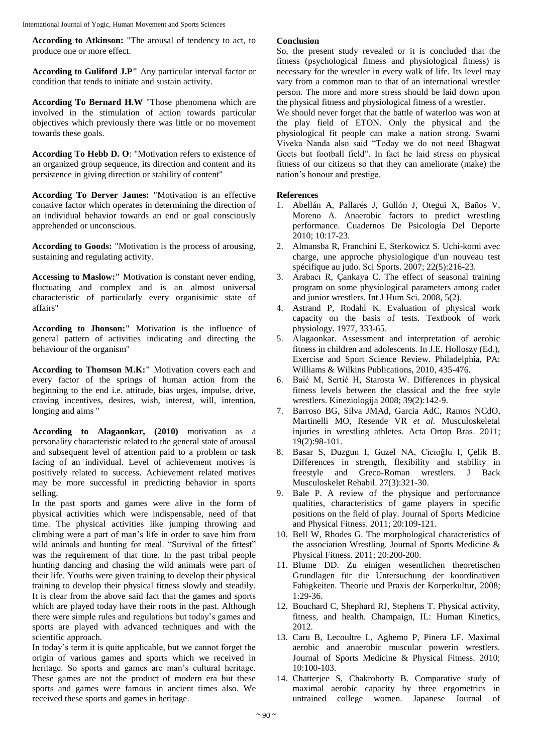**According to Atkinson:** "The arousal of tendency to act, to produce one or more effect.

**According to Guliford J.P"** Any particular interval factor or condition that tends to initiate and sustain activity.

**According To Bernard H.W** "Those phenomena which are involved in the stimulation of action towards particular objectives which previously there was little or no movement towards these goals.

**According To Hebb D. O**: "Motivation refers to existence of an organized group sequence, its direction and content and its persistence in giving direction or stability of content"

**According To Derver James:** "Motivation is an effective conative factor which operates in determining the direction of an individual behavior towards an end or goal consciously apprehended or unconscious.

**According to Goods:** "Motivation is the process of arousing, sustaining and regulating activity.

**Accessing to Maslow:"** Motivation is constant never ending, fluctuating and complex and is an almost universal characteristic of particularly every organisimic state of affairs"

**According to Jhonson:"** Motivation is the influence of general pattern of activities indicating and directing the behaviour of the organism"

**According to Thomson M.K:"** Motivation covers each and every factor of the springs of human action from the beginning to the end i.e. attitude, bias urges, impulse, drive, craving incentives, desires, wish, interest, will, intention, longing and aims "

**According to Alagaonkar, (2010)** motivation as a personality characteristic related to the general state of arousal and subsequent level of attention paid to a problem or task facing of an individual. Level of achievement motives is positively related to success. Achievement related motives may be more successful in predicting behavior in sports selling.

In the past sports and games were alive in the form of physical activities which were indispensable, need of that time. The physical activities like jumping throwing and climbing were a part of man's life in order to save him from wild animals and hunting for meal. "Survival of the fittest" was the requirement of that time. In the past tribal people hunting dancing and chasing the wild animals were part of their life. Youths were given training to develop their physical training to develop their physical fitness slowly and steadily. It is clear from the above said fact that the games and sports which are played today have their roots in the past. Although there were simple rules and regulations but today's games and sports are played with advanced techniques and with the scientific approach.

In today's term it is quite applicable, but we cannot forget the origin of various games and sports which we received in heritage. So sports and games are man's cultural heritage. These games are not the product of modern era but these sports and games were famous in ancient times also. We received these sports and games in heritage.

### **Conclusion**

So, the present study revealed or it is concluded that the fitness (psychological fitness and physiological fitness) is necessary for the wrestler in every walk of life. Its level may vary from a common man to that of an international wrestler person. The more and more stress should be laid down upon the physical fitness and physiological fitness of a wrestler.

We should never forget that the battle of waterloo was won at the play field of ETON. Only the physical and the physiological fit people can make a nation strong. Swami Viveka Nanda also said "Today we do not need Bhagwat Geets but football field". In fact he laid stress on physical fitness of our citizens so that they can ameliorate (make) the nation's honour and prestige.

# **References**

- 1. Abellán A, Pallarés J, Gullón J, Otegui X, Baños V, Moreno A. Anaerobic factors to predict wrestling performance. Cuadernos De Psicología Del Deporte 2010; 10:17-23.
- 2. Almansba R, Franchini E, Sterkowicz S. Uchi-komi avec charge, une approche physiologique d'un nouveau test spécifique au judo. Sci Sports. 2007; 22(5):216-23.
- 3. Arabacı R, Çankaya C. The effect of seasonal training program on some physiological parameters among cadet and junior wrestlers. Int J Hum Sci. 2008, 5(2).
- 4. Astrand P, Rodahl K. Evaluation of physical work capacity on the basis of tests. Textbook of work physiology. 1977, 333-65.
- 5. Alagaonkar. Assessment and interpretation of aerobic fitness in children and adolescents. In J.E. Holloszy (Ed.), Exercise and Sport Science Review. Philadelphia, PA: Williams & Wilkins Publications, 2010, 435-476.
- 6. Baić M, Sertić H, Starosta W. Differences in physical fitness levels between the classical and the free style wrestlers. Kineziologija 2008; 39(2):142-9.
- 7. Barroso BG, Silva JMAd, Garcia AdC, Ramos NCdO, Martinelli MO, Resende VR *et al*. Musculoskeletal injuries in wrestling athletes. Acta Ortop Bras. 2011; 19(2):98-101.
- 8. Basar S, Duzgun I, Guzel NA, Cicioğlu I, Çelik B. Differences in strength, flexibility and stability in freestyle and Greco-Roman wrestlers. J Back Musculoskelet Rehabil. 27(3):321-30.
- 9. Bale P. A review of the physique and performance qualities, characteristics of game players in specific positions on the field of play. Journal of Sports Medicine and Physical Fitness. 2011; 20:109-121.
- 10. Bell W, Rhodes G. The morphological characteristics of the association Wrestling. Journal of Sports Medicine & Physical Fitness. 2011; 20:200-200.
- 11. Blume DD. Zu einigen wesentlichen theoretischen Grundlagen für die Untersuchung der koordinativen Fahigkeiten. Theorie und Praxis der Korperkultur, 2008; 1:29-36.
- 12. Bouchard C, Shephard RJ, Stephens T. Physical activity, fitness, and health. Champaign, IL: Human Kinetics, 2012.
- 13. Caru B, Lecoultre L, Aghemo P, Pinera LF. Maximal aerobic and anaerobic muscular powerin wrestlers. Journal of Sports Medicine & Physical Fitness. 2010; 10:100-103.
- 14. Chatterjee S, Chakroborty B. Comparative study of maximal aerobic capacity by three ergometrics in untrained college women. Japanese Journal of